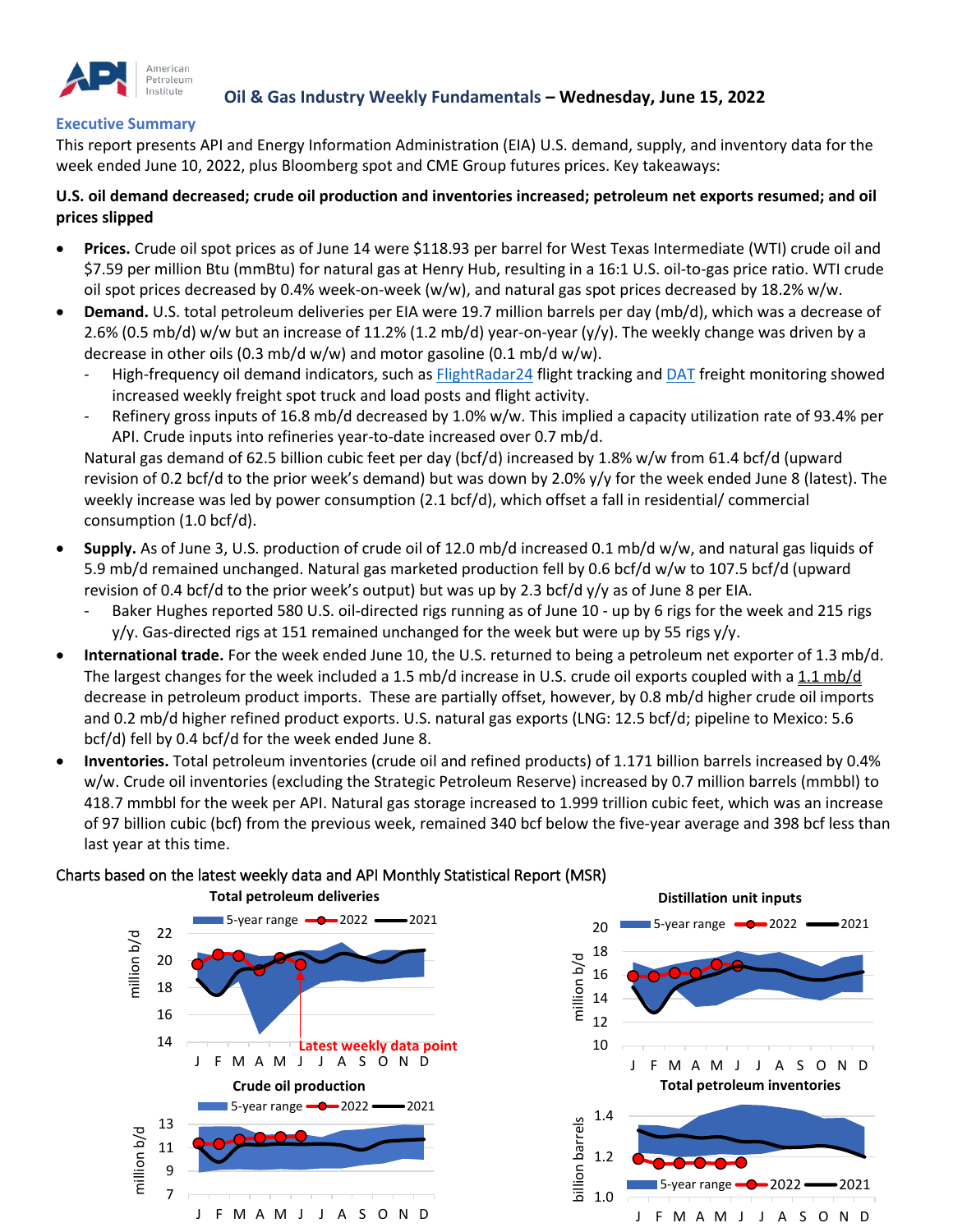

## **Oil & Gas Industry Weekly Fundamentals – Wednesday, June 15, 2022**

### **Executive Summary**

This report presents API and Energy Information Administration (EIA) U.S. demand, supply, and inventory data for the week ended June 10, 2022, plus Bloomberg spot and CME Group futures prices. Key takeaways:

### **U.S. oil demand decreased; crude oil production and inventories increased; petroleum net exports resumed; and oil prices slipped**

- **Prices.** Crude oil spot prices as of June 14 were \$118.93 per barrel for West Texas Intermediate (WTI) crude oil and \$7.59 per million Btu (mmBtu) for natural gas at Henry Hub, resulting in a 16:1 U.S. oil-to-gas price ratio. WTI crude oil spot prices decreased by 0.4% week-on-week (w/w), and natural gas spot prices decreased by 18.2% w/w.
- **Demand.** U.S. total petroleum deliveries per EIA were 19.7 million barrels per day (mb/d), which was a decrease of 2.6% (0.5 mb/d) w/w but an increase of 11.2% (1.2 mb/d) year-on-year (y/y). The weekly change was driven by a decrease in other oils (0.3 mb/d w/w) and motor gasoline (0.1 mb/d w/w).
	- High-frequency oil demand indicators, such as **[FlightRadar24](https://www.flightradar24.com/data/statistics)** flight tracking and **DAT** freight monitoring showed increased weekly freight spot truck and load posts and flight activity.
	- Refinery gross inputs of 16.8 mb/d decreased by 1.0% w/w. This implied a capacity utilization rate of 93.4% per API. Crude inputs into refineries year-to-date increased over 0.7 mb/d.

Natural gas demand of 62.5 billion cubic feet per day (bcf/d) increased by 1.8% w/w from 61.4 bcf/d (upward revision of 0.2 bcf/d to the prior week's demand) but was down by 2.0% y/y for the week ended June 8 (latest). The weekly increase was led by power consumption (2.1 bcf/d), which offset a fall in residential/ commercial consumption (1.0 bcf/d).

- **Supply.** As of June 3, U.S. production of crude oil of 12.0 mb/d increased 0.1 mb/d w/w, and natural gas liquids of 5.9 mb/d remained unchanged. Natural gas marketed production fell by 0.6 bcf/d w/w to 107.5 bcf/d (upward revision of 0.4 bcf/d to the prior week's output) but was up by 2.3 bcf/d y/y as of June 8 per EIA.
	- Baker Hughes reported 580 U.S. oil-directed rigs running as of June 10 up by 6 rigs for the week and 215 rigs  $y/y$ . Gas-directed rigs at 151 remained unchanged for the week but were up by 55 rigs  $y/y$ .
- **International trade.** For the week ended June 10, the U.S. returned to being a petroleum net exporter of 1.3 mb/d. The largest changes for the week included a 1.5 mb/d increase in U.S. crude oil exports coupled with a 1.1 mb/d decrease in petroleum product imports. These are partially offset, however, by 0.8 mb/d higher crude oil imports and 0.2 mb/d higher refined product exports. U.S. natural gas exports (LNG: 12.5 bcf/d; pipeline to Mexico: 5.6 bcf/d) fell by 0.4 bcf/d for the week ended June 8.
- **Inventories.** Total petroleum inventories (crude oil and refined products) of 1.171 billion barrels increased by 0.4% w/w. Crude oil inventories (excluding the Strategic Petroleum Reserve) increased by 0.7 million barrels (mmbbl) to 418.7 mmbbl for the week per API. Natural gas storage increased to 1.999 trillion cubic feet, which was an increase of 97 billion cubic (bcf) from the previous week, remained 340 bcf below the five-year average and 398 bcf less than last year at this time.

### Charts based on the latest weekly data and API Monthly Statistical Report (MSR)